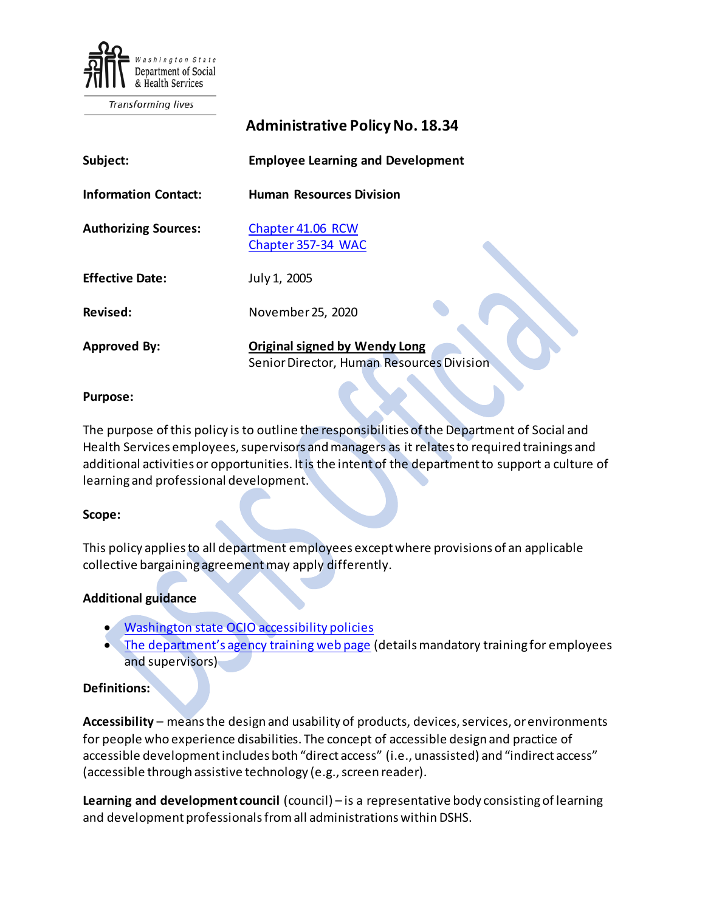

Transforming lives

|                             | <b>Administrative Policy No. 18.34</b>                                            |
|-----------------------------|-----------------------------------------------------------------------------------|
| Subject:                    | <b>Employee Learning and Development</b>                                          |
| <b>Information Contact:</b> | <b>Human Resources Division</b>                                                   |
| <b>Authorizing Sources:</b> | Chapter 41.06 RCW<br>Chapter 357-34 WAC                                           |
| <b>Effective Date:</b>      | July 1, 2005                                                                      |
| Revised:                    | November 25, 2020                                                                 |
| <b>Approved By:</b>         | <b>Original signed by Wendy Long</b><br>Senior Director, Human Resources Division |

#### **Purpose:**

The purpose of this policy is to outline the responsibilities ofthe Department of Social and Health Services employees, supervisors and managers as it relates to required trainings and additional activities or opportunities. It is the intent of the department to support a culture of learning and professional development.

#### **Scope:**

This policy applies to all department employees except where provisions of an applicable collective bargaining agreementmay apply differently.

#### **Additional guidance**

- [Washington state OCIO accessibility policies](https://ocio.wa.gov/policies)
- [The department's agency training web page](http://hrd.dshs.wa.lcl/Position_Management/Recruitment_and_Training_Support_Services/Employee_Agency_Training/Required_Agency_Training.htm) (details mandatory training for employees and supervisors)

### **Definitions:**

**Accessibility** – means the design and usability of products, devices, services, or environments for people who experience disabilities. The concept of accessible design and practice of accessible development includes both "direct access" (i.e., unassisted) and "indirect access" (accessible through assistive technology (e.g., screen reader).

**Learning and development council** (council) – is a representative body consisting of learning and development professionals from all administrations within DSHS.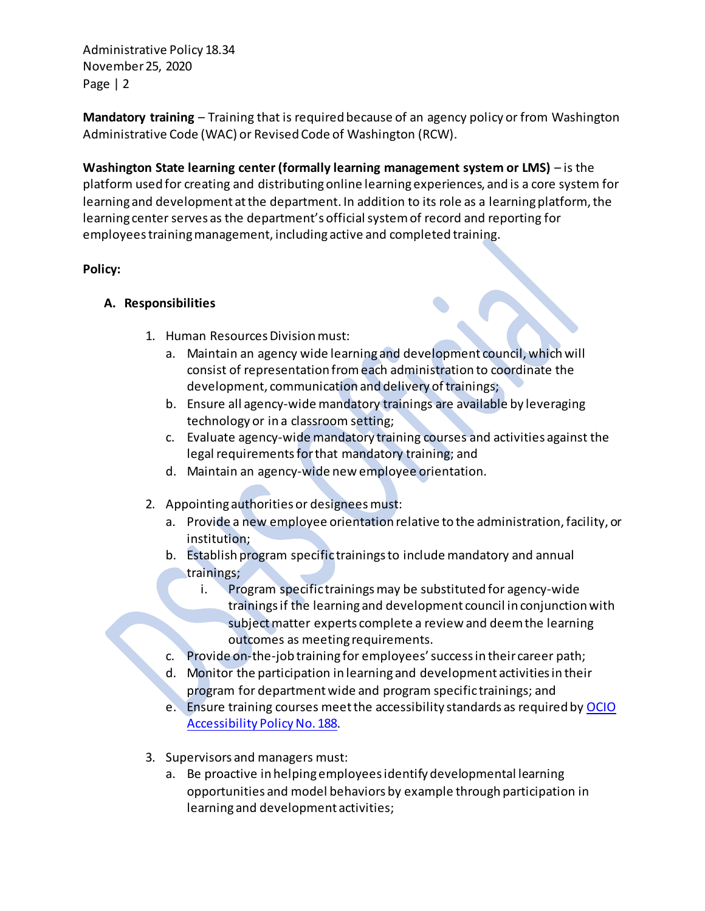**Mandatory training** – Training that is required because of an agency policy or from Washington Administrative Code (WAC) or Revised Code of Washington (RCW).

**Washington State learning center (formally learning management system or LMS)** – is the platform used for creating and distributing online learning experiences, and is a core system for learning and development at the department. In addition to its role as a learning platform, the learning center serves as the department's official system of record and reporting for employees training management, including active and completed training.

## **Policy:**

## **A. Responsibilities**

- 1. Human Resources Division must:
	- a. Maintain an agency wide learning and development council, which will consist of representation from each administration to coordinate the development, communication and delivery of trainings;
	- b. Ensure all agency-wide mandatory trainings are available by leveraging technology or in a classroom setting;
	- c. Evaluate agency-wide mandatory training courses and activities against the legal requirements for that mandatory training; and
	- d. Maintain an agency-wide new employee orientation.
- 2. Appointing authorities or designees must:
	- a. Provide a new employee orientation relative to the administration, facility, or institution;
	- b. Establish program specific trainings to include mandatory and annual trainings;
		- i. Program specific trainings may be substituted for agency-wide trainings if the learning and development council in conjunction with subject matter experts complete a review and deem the learning outcomes as meeting requirements.
	- c. Provide on-the-job training for employees' success in their career path;
	- d. Monitor the participation in learning and development activities in their program for departmentwide and program specific trainings; and
	- e. Ensure training courses meet the accessibility standards as required by [OCIO](https://ocio.wa.gov/policy/accessibility)  [Accessibility Policy No. 188.](https://ocio.wa.gov/policy/accessibility)
- 3. Supervisors and managers must:
	- a. Be proactive in helping employees identify developmental learning opportunities and model behaviors by example through participation in learning and development activities;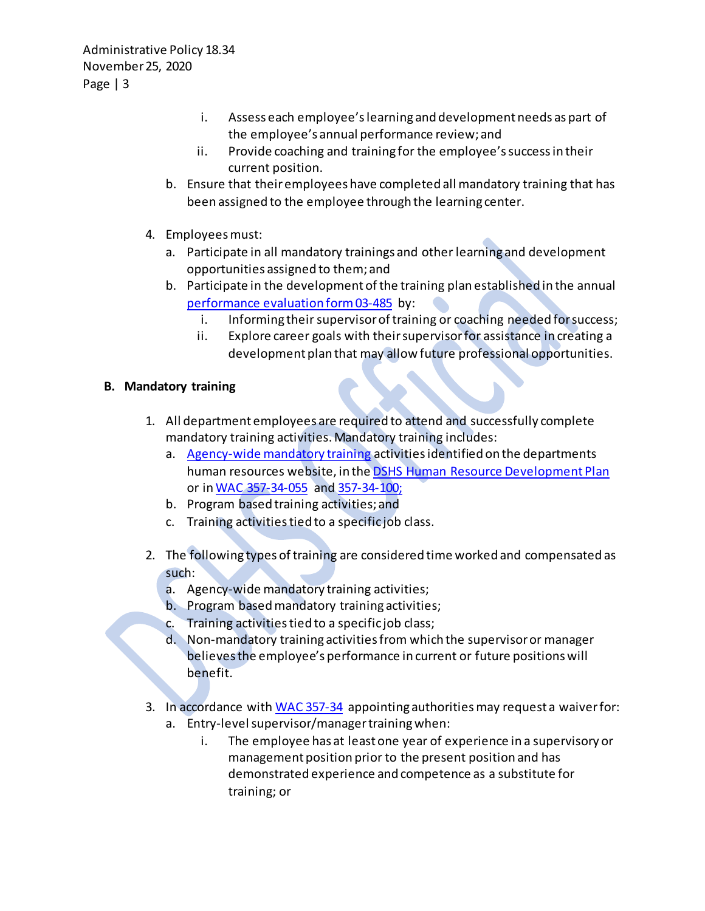- i. Assess each employee's learning and development needs as part of the employee's annual performance review; and
- ii. Provide coaching and training for the employee's success in their current position.
- b. Ensure that their employees have completed all mandatory training that has been assigned to the employee through the learning center.
- 4. Employeesmust:
	- a. Participate in all mandatory trainings and other learning and development opportunities assigned to them; and
	- b. Participate in the development of the training plan established in the annual [performance evaluation](http://forms.dshs.wa.lcl/) form 03-485 by:
		- i. Informing their supervisor of training or coaching needed for success;
		- ii. Explore career goals with theirsupervisor for assistance in creating a development plan that may allow future professional opportunities.

## **B. Mandatory training**

- 1. All department employees are required to attend and successfully complete mandatory training activities. Mandatory training includes:
	- a. [Agency-wide mandatory training](http://hrd.dshs.wa.gov/Position_Management/Recruitment_and_Training_Support_Services/Employee_Agency_Training/Required_Agency_Training.htm) activities identified on the departments human resources website, in the [DSHS Human Resource Development Plan](http://hrd.dshs.wa.gov/Position_Management/Recruitment_and_Training_Support_Services/Employee_Agency_Training/Employee_Agency_Training.htm) or i[n WAC 357-34-055](http://apps.leg.wa.gov/WAC/default.aspx?cite=357-34-055) an[d 357-34-100;](http://apps.leg.wa.gov/WAC/default.aspx?cite=357-34-100)
	- b. Program based training activities; and
	- c. Training activities tied to a specific job class.
- 2. The following types of training are considered time worked and compensated as such:
	- a. Agency-wide mandatory training activities;
	- b. Program based mandatory training activities;
	- c. Training activities tied to a specific job class;
	- d. Non-mandatory training activities from which the supervisor or manager believes the employee's performance in current or future positions will benefit.
- 3. In accordance with [WAC 357-34](https://apps.leg.wa.gov/WAC/default.aspx?cite=357-34) appointing authorities may request a waiver for:
	- a. Entry-level supervisor/managertrainingwhen:
		- i. The employee has at least one year of experience in a supervisory or management position prior to the present position and has demonstrated experience and competence as a substitute for training; or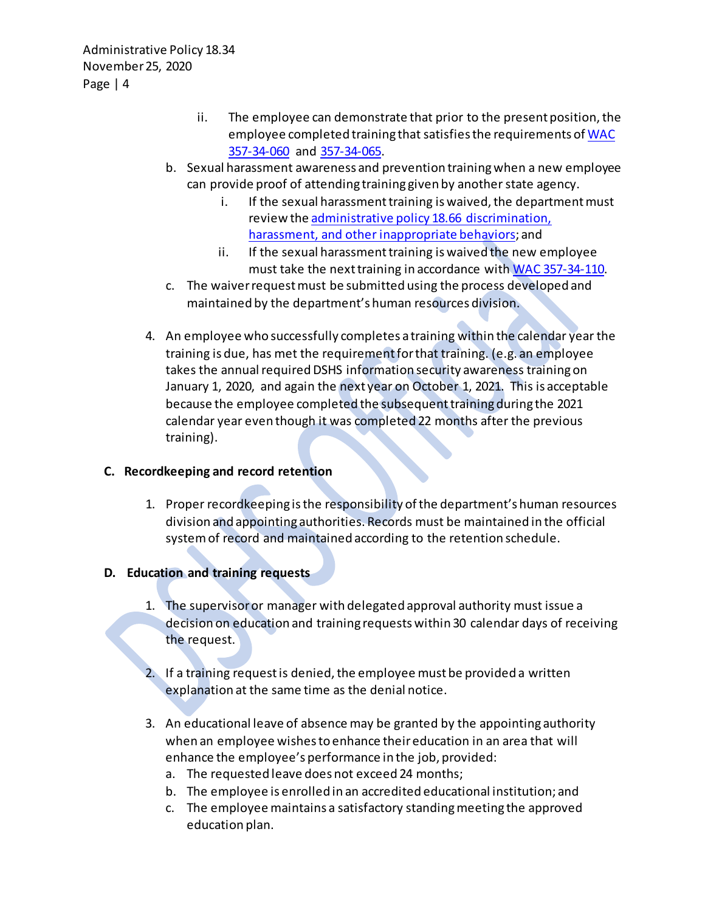- ii. The employee can demonstrate that prior to the present position, the employee completed training that satisfies the requirements o[f WAC](https://apps.leg.wa.gov/WAC/default.aspx?cite=357-34-060)  [357-34-060](https://apps.leg.wa.gov/WAC/default.aspx?cite=357-34-060) and [357-34-065.](https://apps.leg.wa.gov/WAC/default.aspx?cite=357-34-065)
- b. Sexual harassment awareness and prevention trainingwhen a new employee can provide proof of attending training given by another state agency.
	- i. If the sexual harassment training is waived, the department must review th[e administrative policy 18.66 discrimination,](http://one.dshs.wa.lcl/Policies/Administrative/DSHS-AP-18-66.pdf)  [harassment, and other inappropriate behaviors;](http://one.dshs.wa.lcl/Policies/Administrative/DSHS-AP-18-66.pdf) and
	- ii. If the sexual harassment training is waived the new employee must take the next training in accordance wit[h WAC 357-34-110.](https://apps.leg.wa.gov/WAC/default.aspx?cite=357-34-110)
- c. The waiver request must be submitted using the process developed and maintained by the department's human resources division.
- 4. An employee who successfully completes a training within the calendar year the training is due, has met the requirement for that training. (e.g. an employee takes the annual required DSHS information security awareness training on January 1, 2020, and again the next year on October 1, 2021. This is acceptable because the employee completed the subsequent training during the 2021 calendar year even though it was completed 22 months after the previous training).

### **C. Recordkeeping and record retention**

1. Proper recordkeeping is the responsibility of the department's human resources division and appointing authorities. Records must be maintained in the official system of record and maintained according to the retention schedule.

# **D. Education and training requests**

- 1. The supervisor or manager with delegated approval authority must issue a decision on education and training requests within 30 calendar days of receiving the request.
- 2. If a training request is denied, the employee must be provided a written explanation at the same time as the denial notice.
- 3. An educational leave of absence may be granted by the appointing authority when an employee wishes to enhance theireducation in an area that will enhance the employee's performance in the job, provided:
	- a. The requested leave does not exceed 24 months;
	- b. The employee is enrolled in an accredited educational institution; and
	- c. The employee maintains a satisfactory standing meeting the approved education plan.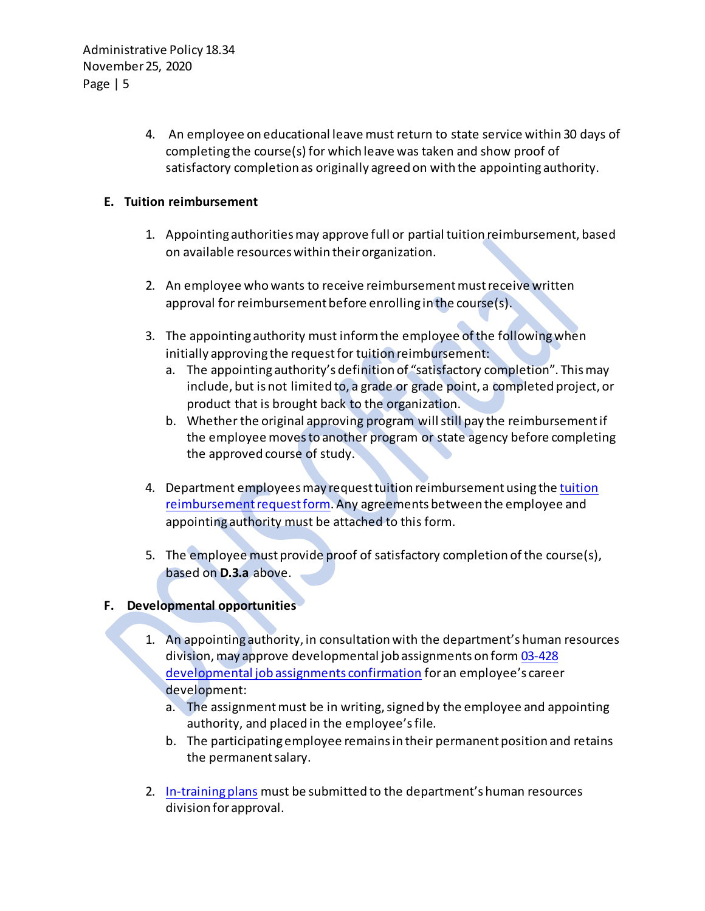> 4. An employee on educational leave must return to state service within 30 days of completing the course(s) for which leave was taken and show proof of satisfactory completion as originally agreed on with the appointing authority.

### **E. Tuition reimbursement**

- 1. Appointing authorities may approve full or partial tuition reimbursement, based on available resourceswithin theirorganization.
- 2. An employee who wants to receive reimbursement must receive written approval for reimbursement before enrolling in the course(s).
- 3. The appointing authority must inform the employee of the following when initially approving the request for tuition reimbursement:
	- a. The appointing authority's definition of "satisfactory completion". This may include, but is not limited to, a grade or grade point, a completed project, or product that is brought back to the organization.
	- b. Whether the original approving program will still pay the reimbursement if the employee moves to another program or state agency before completing the approved course of study.
- 4. Department employees may request tuition reimbursement using the tuition [reimbursement request form.](http://dop.wa.gov/SiteCollectionDocuments/Forms%20and%20Publications/DOP%20Forms/TuitionReimbursementRequest1.doc) Any agreements between the employee and appointing authority must be attached to this form.
- 5. The employee must provide proof of satisfactory completion of the course(s), based on **D.3.a** above.

### **F. Developmental opportunities**

- 1. An appointing authority, in consultation with the department's human resources division, may approve developmental job assignments on form [03-428](http://forms.dshs.wa.lcl/)  [developmental job assignments confirmation](http://forms.dshs.wa.lcl/) for an employee's career development:
	- a. The assignment must be in writing, signed by the employee and appointing authority, and placed in the employee's file.
	- b. The participating employee remains in their permanent position and retains the permanent salary.
- 2. [In-training plans](http://hrd.dshs.wa.lcl/Position_Management/Classification_and_Compensation/Classification_and_Compensation.htm) must be submitted to the department's human resources division for approval.